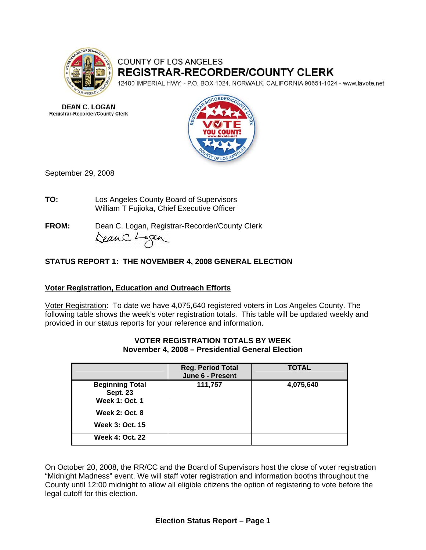

# COUNTY OF LOS ANGELES **REGISTRAR-RECORDER/COUNTY CLERK**

12400 IMPERIAL HWY. - P.O. BOX 1024, NORWALK, CALIFORNIA 90651-1024 - www.lavote.net

**DEAN C. LOGAN** Registrar-Recorder/County Clerk



September 29, 2008

**TO:** Los Angeles County Board of Supervisors William T Fujioka, Chief Executive Officer

**FROM:** Dean C. Logan, Registrar-Recorder/County Clerk DeanC. Logan

# **STATUS REPORT 1: THE NOVEMBER 4, 2008 GENERAL ELECTION**

# **Voter Registration, Education and Outreach Efforts**

Voter Registration: To date we have 4,075,640 registered voters in Los Angeles County. The following table shows the week's voter registration totals. This table will be updated weekly and provided in our status reports for your reference and information.

|                                           | <b>Reg. Period Total</b><br>June 6 - Present | <b>TOTAL</b> |
|-------------------------------------------|----------------------------------------------|--------------|
| <b>Beginning Total</b><br><b>Sept. 23</b> | 111,757                                      | 4,075,640    |
| <b>Week 1: Oct. 1</b>                     |                                              |              |
| <b>Week 2: Oct. 8</b>                     |                                              |              |
| <b>Week 3: Oct. 15</b>                    |                                              |              |
| <b>Week 4: Oct. 22</b>                    |                                              |              |

#### **VOTER REGISTRATION TOTALS BY WEEK November 4, 2008 – Presidential General Election**

On October 20, 2008, the RR/CC and the Board of Supervisors host the close of voter registration "Midnight Madness" event. We will staff voter registration and information booths throughout the County until 12:00 midnight to allow all eligible citizens the option of registering to vote before the legal cutoff for this election.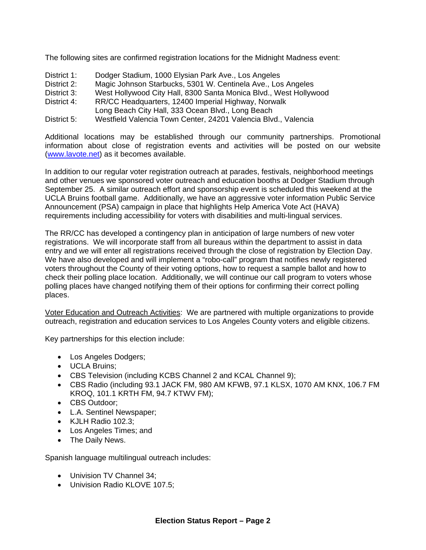The following sites are confirmed registration locations for the Midnight Madness event:

- District 1: Dodger Stadium, 1000 Elysian Park Ave., Los Angeles
- District 2: Magic Johnson Starbucks, 5301 W. Centinela Ave., Los Angeles
- District 3: West Hollywood City Hall, 8300 Santa Monica Blvd., West Hollywood
- District 4: RR/CC Headquarters, 12400 Imperial Highway, Norwalk
- Long Beach City Hall, 333 Ocean Blvd., Long Beach
- District 5: Westfield Valencia Town Center, 24201 Valencia Blvd., Valencia

Additional locations may be established through our community partnerships. Promotional information about close of registration events and activities will be posted on our website [\(www.lavote.net](http://www.lavote.net/)) as it becomes available.

In addition to our regular voter registration outreach at parades, festivals, neighborhood meetings and other venues we sponsored voter outreach and education booths at Dodger Stadium through September 25. A similar outreach effort and sponsorship event is scheduled this weekend at the UCLA Bruins football game. Additionally, we have an aggressive voter information Public Service Announcement (PSA) campaign in place that highlights Help America Vote Act (HAVA) requirements including accessibility for voters with disabilities and multi-lingual services.

The RR/CC has developed a contingency plan in anticipation of large numbers of new voter registrations. We will incorporate staff from all bureaus within the department to assist in data entry and we will enter all registrations received through the close of registration by Election Day. We have also developed and will implement a "robo-call" program that notifies newly registered voters throughout the County of their voting options, how to request a sample ballot and how to check their polling place location. Additionally, we will continue our call program to voters whose polling places have changed notifying them of their options for confirming their correct polling places.

Voter Education and Outreach Activities: We are partnered with multiple organizations to provide outreach, registration and education services to Los Angeles County voters and eligible citizens.

Key partnerships for this election include:

- Los Angeles Dodgers;
- UCLA Bruins;
- CBS Television (including KCBS Channel 2 and KCAL Channel 9);
- CBS Radio (including 93.1 JACK FM, 980 AM KFWB, 97.1 KLSX, 1070 AM KNX, 106.7 FM KROQ, 101.1 KRTH FM, 94.7 KTWV FM);
- CBS Outdoor;
- L.A. Sentinel Newspaper;
- KJLH Radio 102.3;
- Los Angeles Times; and
- The Daily News.

Spanish language multilingual outreach includes:

- Univision TV Channel 34;
- Univision Radio KLOVE 107.5;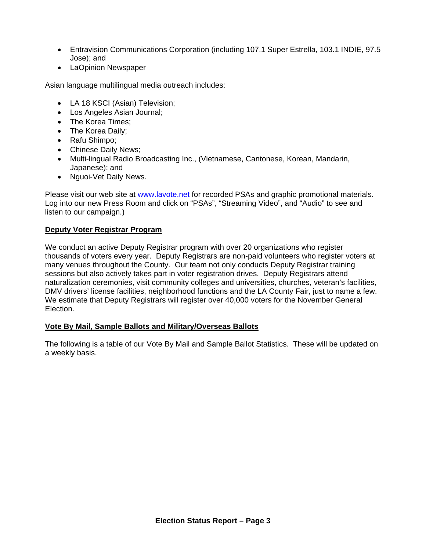- Entravision Communications Corporation (including 107.1 Super Estrella, 103.1 INDIE, 97.5 Jose); and
- LaOpinion Newspaper

Asian language multilingual media outreach includes:

- LA 18 KSCI (Asian) Television;
- Los Angeles Asian Journal;
- The Korea Times:
- The Korea Daily;
- Rafu Shimpo;
- Chinese Daily News;
- Multi-lingual Radio Broadcasting Inc., (Vietnamese, Cantonese, Korean, Mandarin, Japanese); and
- Nguoi-Vet Daily News.

Please visit our web site at [www.lavote.net](http://www.lavote.net/) for recorded PSAs and graphic promotional materials. Log into our new Press Room and click on "PSAs", "Streaming Video", and "Audio" to see and listen to our campaign.)

## **Deputy Voter Registrar Program**

We conduct an active Deputy Registrar program with over 20 organizations who register thousands of voters every year. Deputy Registrars are non-paid volunteers who register voters at many venues throughout the County. Our team not only conducts Deputy Registrar training sessions but also actively takes part in voter registration drives. Deputy Registrars attend naturalization ceremonies, visit community colleges and universities, churches, veteran's facilities, DMV drivers' license facilities, neighborhood functions and the LA County Fair, just to name a few. We estimate that Deputy Registrars will register over 40,000 voters for the November General Election.

## **Vote By Mail, Sample Ballots and Military/Overseas Ballots**

The following is a table of our Vote By Mail and Sample Ballot Statistics. These will be updated on a weekly basis.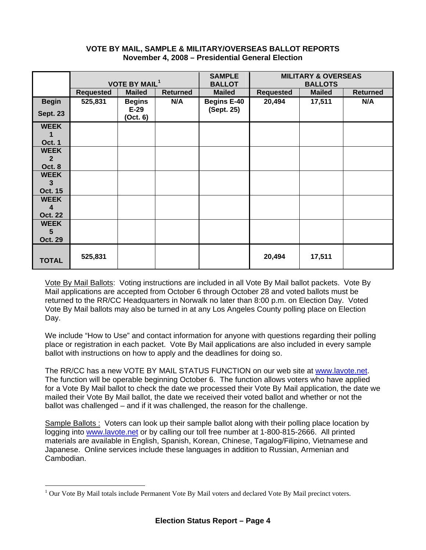#### **VOTE BY MAIL, SAMPLE & MILITARY/OVERSEAS BALLOT REPORTS November 4, 2008 – Presidential General Election**

|                  | <b>VOTE BY MAIL<sup>1</sup></b> |                    | <b>SAMPLE</b><br><b>BALLOT</b> | <b>MILITARY &amp; OVERSEAS</b><br><b>BALLOTS</b> |                  |               |                 |
|------------------|---------------------------------|--------------------|--------------------------------|--------------------------------------------------|------------------|---------------|-----------------|
|                  | <b>Requested</b>                | <b>Mailed</b>      | <b>Returned</b>                | <b>Mailed</b>                                    | <b>Requested</b> | <b>Mailed</b> | <b>Returned</b> |
| <b>Begin</b>     | 525,831                         | <b>Begins</b>      | N/A                            | <b>Begins E-40</b>                               | 20,494           | 17,511        | N/A             |
| <b>Sept. 23</b>  |                                 | $E-29$<br>(Oct. 6) |                                | (Sept. 25)                                       |                  |               |                 |
| <b>WEEK</b>      |                                 |                    |                                |                                                  |                  |               |                 |
| 1                |                                 |                    |                                |                                                  |                  |               |                 |
| <b>Oct. 1</b>    |                                 |                    |                                |                                                  |                  |               |                 |
| <b>WEEK</b>      |                                 |                    |                                |                                                  |                  |               |                 |
| $\overline{2}$   |                                 |                    |                                |                                                  |                  |               |                 |
| Oct. 8           |                                 |                    |                                |                                                  |                  |               |                 |
| <b>WEEK</b>      |                                 |                    |                                |                                                  |                  |               |                 |
| 3                |                                 |                    |                                |                                                  |                  |               |                 |
| <b>Oct. 15</b>   |                                 |                    |                                |                                                  |                  |               |                 |
| <b>WEEK</b><br>4 |                                 |                    |                                |                                                  |                  |               |                 |
| <b>Oct. 22</b>   |                                 |                    |                                |                                                  |                  |               |                 |
| <b>WEEK</b>      |                                 |                    |                                |                                                  |                  |               |                 |
| 5                |                                 |                    |                                |                                                  |                  |               |                 |
| <b>Oct. 29</b>   |                                 |                    |                                |                                                  |                  |               |                 |
| <b>TOTAL</b>     | 525,831                         |                    |                                |                                                  | 20,494           | 17,511        |                 |

Vote By Mail Ballots: Voting instructions are included in all Vote By Mail ballot packets. Vote By Mail applications are accepted from October 6 through October 28 and voted ballots must be returned to the RR/CC Headquarters in Norwalk no later than 8:00 p.m. on Election Day. Voted Vote By Mail ballots may also be turned in at any Los Angeles County polling place on Election Day.

We include "How to Use" and contact information for anyone with questions regarding their polling place or registration in each packet. Vote By Mail applications are also included in every sample ballot with instructions on how to apply and the deadlines for doing so.

The RR/CC has a new VOTE BY MAIL STATUS FUNCTION on our web site at [www.lavote.net](http://www.lavote.net/). The function will be operable beginning October 6. The function allows voters who have applied for a Vote By Mail ballot to check the date we processed their Vote By Mail application, the date we mailed their Vote By Mail ballot, the date we received their voted ballot and whether or not the ballot was challenged – and if it was challenged, the reason for the challenge.

Sample Ballots : Voters can look up their sample ballot along with their polling place location by logging into [www.lavote.net](http://www.lavote.net/) or by calling our toll free number at 1-800-815-2666. All printed materials are available in English, Spanish, Korean, Chinese, Tagalog/Filipino, Vietnamese and Japanese. Online services include these languages in addition to Russian, Armenian and Cambodian.

 $\overline{a}$ 

<span id="page-3-0"></span><sup>&</sup>lt;sup>1</sup> Our Vote By Mail totals include Permanent Vote By Mail voters and declared Vote By Mail precinct voters.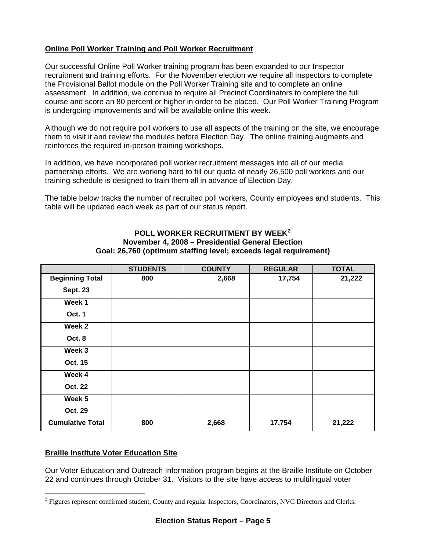# **Online Poll Worker Training and Poll Worker Recruitment**

Our successful Online Poll Worker training program has been expanded to our Inspector recruitment and training efforts. For the November election we require all Inspectors to complete the Provisional Ballot module on the Poll Worker Training site and to complete an online assessment. In addition, we continue to require all Precinct Coordinators to complete the full course and score an 80 percent or higher in order to be placed. Our Poll Worker Training Program is undergoing improvements and will be available online this week.

Although we do not require poll workers to use all aspects of the training on the site, we encourage them to visit it and review the modules before Election Day. The online training augments and reinforces the required in-person training workshops.

In addition, we have incorporated poll worker recruitment messages into all of our media partnership efforts. We are working hard to fill our quota of nearly 26,500 poll workers and our training schedule is designed to train them all in advance of Election Day.

The table below tracks the number of recruited poll workers, County employees and students. This table will be updated each week as part of our status report.

# **POLL WORKER RECRUITMENT BY WEEK[2](#page-4-0) November 4, 2008 – Presidential General Election Goal: 26,760 (optimum staffing level; exceeds legal requirement)**

|                         | <b>STUDENTS</b> | <b>COUNTY</b> | <b>REGULAR</b> | <b>TOTAL</b> |
|-------------------------|-----------------|---------------|----------------|--------------|
| <b>Beginning Total</b>  | 800             | 2,668         | 17,754         | 21,222       |
| <b>Sept. 23</b>         |                 |               |                |              |
| Week 1                  |                 |               |                |              |
| Oct. 1                  |                 |               |                |              |
| Week 2                  |                 |               |                |              |
| Oct. 8                  |                 |               |                |              |
| Week 3                  |                 |               |                |              |
| Oct. 15                 |                 |               |                |              |
| Week 4                  |                 |               |                |              |
| <b>Oct. 22</b>          |                 |               |                |              |
| Week 5                  |                 |               |                |              |
| Oct. 29                 |                 |               |                |              |
| <b>Cumulative Total</b> | 800             | 2,668         | 17,754         | 21,222       |

## **Braille Institute Voter Education Site**

 $\overline{a}$ 

Our Voter Education and Outreach Information program begins at the Braille Institute on October 22 and continues through October 31. Visitors to the site have access to multilingual voter

<span id="page-4-0"></span><sup>&</sup>lt;sup>2</sup> Figures represent confirmed student, County and regular Inspectors, Coordinators, NVC Directors and Clerks.